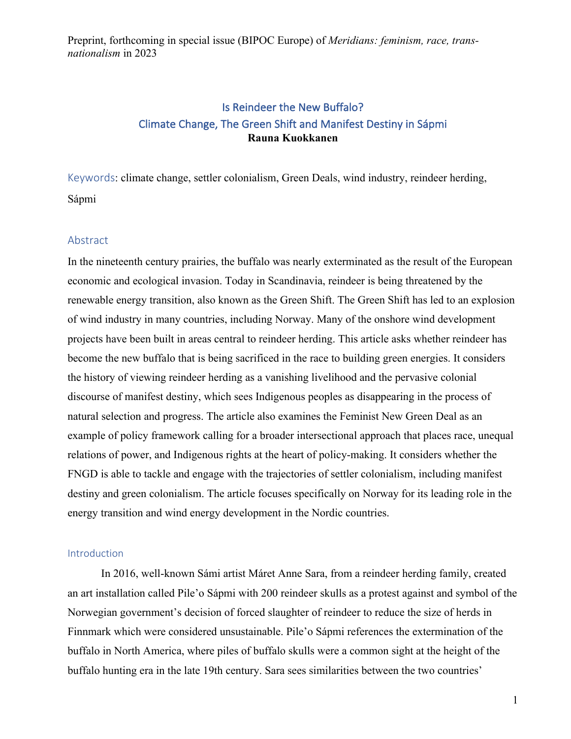# Is Reindeer the New Buffalo? Climate Change, The Green Shift and Manifest Destiny in Sápmi **Rauna Kuokkanen**

Keywords: climate change, settler colonialism, Green Deals, wind industry, reindeer herding, Sápmi

#### Abstract

In the nineteenth century prairies, the buffalo was nearly exterminated as the result of the European economic and ecological invasion. Today in Scandinavia, reindeer is being threatened by the renewable energy transition, also known as the Green Shift. The Green Shift has led to an explosion of wind industry in many countries, including Norway. Many of the onshore wind development projects have been built in areas central to reindeer herding. This article asks whether reindeer has become the new buffalo that is being sacrificed in the race to building green energies. It considers the history of viewing reindeer herding as a vanishing livelihood and the pervasive colonial discourse of manifest destiny, which sees Indigenous peoples as disappearing in the process of natural selection and progress. The article also examines the Feminist New Green Deal as an example of policy framework calling for a broader intersectional approach that places race, unequal relations of power, and Indigenous rights at the heart of policy-making. It considers whether the FNGD is able to tackle and engage with the trajectories of settler colonialism, including manifest destiny and green colonialism. The article focuses specifically on Norway for its leading role in the energy transition and wind energy development in the Nordic countries.

#### Introduction

In 2016, well-known Sámi artist Máret Anne Sara, from a reindeer herding family, created an art installation called Pile'o Sápmi with 200 reindeer skulls as a protest against and symbol of the Norwegian government's decision of forced slaughter of reindeer to reduce the size of herds in Finnmark which were considered unsustainable. Pile'o Sápmi references the extermination of the buffalo in North America, where piles of buffalo skulls were a common sight at the height of the buffalo hunting era in the late 19th century. Sara sees similarities between the two countries'

1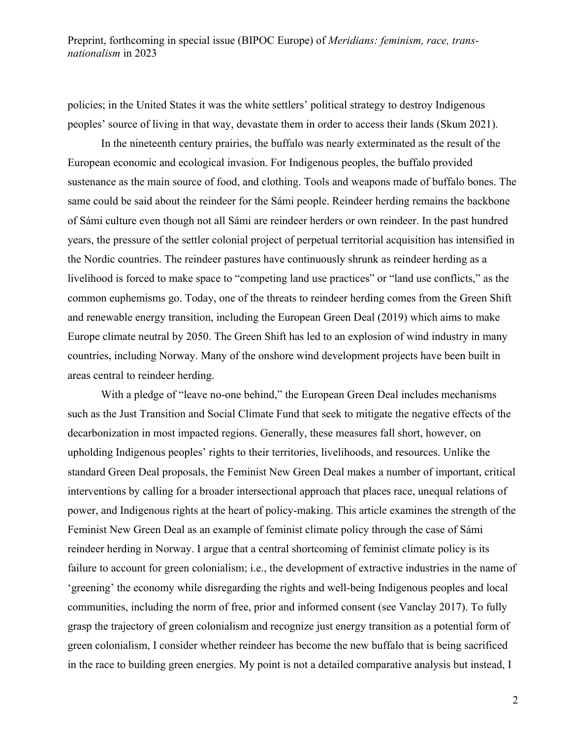policies; in the United States it was the white settlers' political strategy to destroy Indigenous peoples' source of living in that way, devastate them in order to access their lands (Skum 2021).

In the nineteenth century prairies, the buffalo was nearly exterminated as the result of the European economic and ecological invasion. For Indigenous peoples, the buffalo provided sustenance as the main source of food, and clothing. Tools and weapons made of buffalo bones. The same could be said about the reindeer for the Sámi people. Reindeer herding remains the backbone of Sámi culture even though not all Sámi are reindeer herders or own reindeer. In the past hundred years, the pressure of the settler colonial project of perpetual territorial acquisition has intensified in the Nordic countries. The reindeer pastures have continuously shrunk as reindeer herding as a livelihood is forced to make space to "competing land use practices" or "land use conflicts," as the common euphemisms go. Today, one of the threats to reindeer herding comes from the Green Shift and renewable energy transition, including the European Green Deal (2019) which aims to make Europe climate neutral by 2050. The Green Shift has led to an explosion of wind industry in many countries, including Norway. Many of the onshore wind development projects have been built in areas central to reindeer herding.

With a pledge of "leave no-one behind," the European Green Deal includes mechanisms such as the Just Transition and Social Climate Fund that seek to mitigate the negative effects of the decarbonization in most impacted regions. Generally, these measures fall short, however, on upholding Indigenous peoples' rights to their territories, livelihoods, and resources. Unlike the standard Green Deal proposals, the Feminist New Green Deal makes a number of important, critical interventions by calling for a broader intersectional approach that places race, unequal relations of power, and Indigenous rights at the heart of policy-making. This article examines the strength of the Feminist New Green Deal as an example of feminist climate policy through the case of Sámi reindeer herding in Norway. I argue that a central shortcoming of feminist climate policy is its failure to account for green colonialism; i.e., the development of extractive industries in the name of 'greening' the economy while disregarding the rights and well-being Indigenous peoples and local communities, including the norm of free, prior and informed consent (see Vanclay 2017). To fully grasp the trajectory of green colonialism and recognize just energy transition as a potential form of green colonialism, I consider whether reindeer has become the new buffalo that is being sacrificed in the race to building green energies. My point is not a detailed comparative analysis but instead, I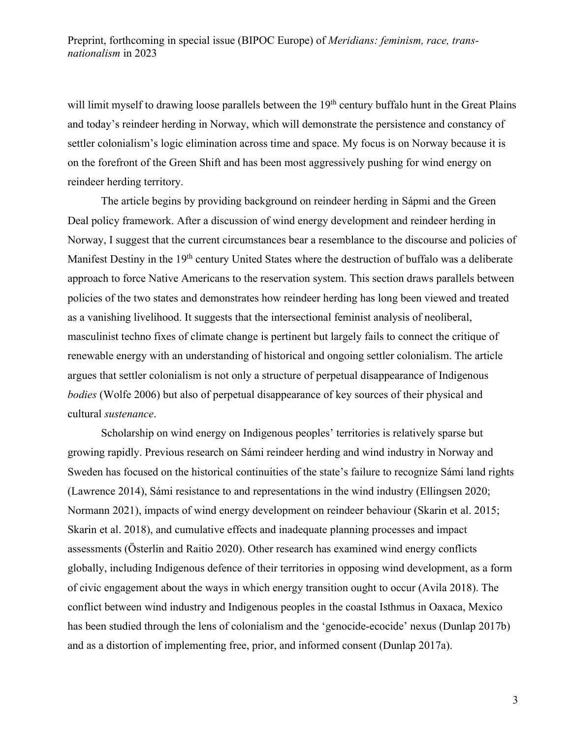will limit myself to drawing loose parallels between the 19<sup>th</sup> century buffalo hunt in the Great Plains and today's reindeer herding in Norway, which will demonstrate the persistence and constancy of settler colonialism's logic elimination across time and space. My focus is on Norway because it is on the forefront of the Green Shift and has been most aggressively pushing for wind energy on reindeer herding territory.

The article begins by providing background on reindeer herding in Sápmi and the Green Deal policy framework. After a discussion of wind energy development and reindeer herding in Norway, I suggest that the current circumstances bear a resemblance to the discourse and policies of Manifest Destiny in the 19<sup>th</sup> century United States where the destruction of buffalo was a deliberate approach to force Native Americans to the reservation system. This section draws parallels between policies of the two states and demonstrates how reindeer herding has long been viewed and treated as a vanishing livelihood. It suggests that the intersectional feminist analysis of neoliberal, masculinist techno fixes of climate change is pertinent but largely fails to connect the critique of renewable energy with an understanding of historical and ongoing settler colonialism. The article argues that settler colonialism is not only a structure of perpetual disappearance of Indigenous *bodies* (Wolfe 2006) but also of perpetual disappearance of key sources of their physical and cultural *sustenance*.

Scholarship on wind energy on Indigenous peoples' territories is relatively sparse but growing rapidly. Previous research on Sámi reindeer herding and wind industry in Norway and Sweden has focused on the historical continuities of the state's failure to recognize Sámi land rights (Lawrence 2014), Sámi resistance to and representations in the wind industry (Ellingsen 2020; Normann 2021), impacts of wind energy development on reindeer behaviour (Skarin et al. 2015; Skarin et al. 2018), and cumulative effects and inadequate planning processes and impact assessments (Österlin and Raitio 2020). Other research has examined wind energy conflicts globally, including Indigenous defence of their territories in opposing wind development, as a form of civic engagement about the ways in which energy transition ought to occur (Avila 2018). The conflict between wind industry and Indigenous peoples in the coastal Isthmus in Oaxaca, Mexico has been studied through the lens of colonialism and the 'genocide-ecocide' nexus (Dunlap 2017b) and as a distortion of implementing free, prior, and informed consent (Dunlap 2017a).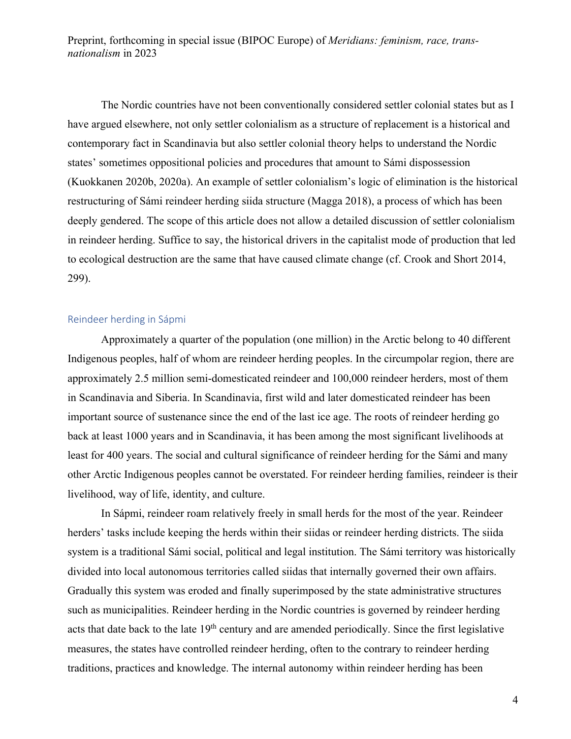The Nordic countries have not been conventionally considered settler colonial states but as I have argued elsewhere, not only settler colonialism as a structure of replacement is a historical and contemporary fact in Scandinavia but also settler colonial theory helps to understand the Nordic states' sometimes oppositional policies and procedures that amount to Sámi dispossession (Kuokkanen 2020b, 2020a). An example of settler colonialism's logic of elimination is the historical restructuring of Sámi reindeer herding siida structure (Magga 2018), a process of which has been deeply gendered. The scope of this article does not allow a detailed discussion of settler colonialism in reindeer herding. Suffice to say, the historical drivers in the capitalist mode of production that led to ecological destruction are the same that have caused climate change (cf. Crook and Short 2014, 299).

#### Reindeer herding in Sápmi

Approximately a quarter of the population (one million) in the Arctic belong to 40 different Indigenous peoples, half of whom are reindeer herding peoples. In the circumpolar region, there are approximately 2.5 million semi-domesticated reindeer and 100,000 reindeer herders, most of them in Scandinavia and Siberia. In Scandinavia, first wild and later domesticated reindeer has been important source of sustenance since the end of the last ice age. The roots of reindeer herding go back at least 1000 years and in Scandinavia, it has been among the most significant livelihoods at least for 400 years. The social and cultural significance of reindeer herding for the Sámi and many other Arctic Indigenous peoples cannot be overstated. For reindeer herding families, reindeer is their livelihood, way of life, identity, and culture.

In Sápmi, reindeer roam relatively freely in small herds for the most of the year. Reindeer herders' tasks include keeping the herds within their siidas or reindeer herding districts. The siida system is a traditional Sámi social, political and legal institution. The Sámi territory was historically divided into local autonomous territories called siidas that internally governed their own affairs. Gradually this system was eroded and finally superimposed by the state administrative structures such as municipalities. Reindeer herding in the Nordic countries is governed by reindeer herding acts that date back to the late 19<sup>th</sup> century and are amended periodically. Since the first legislative measures, the states have controlled reindeer herding, often to the contrary to reindeer herding traditions, practices and knowledge. The internal autonomy within reindeer herding has been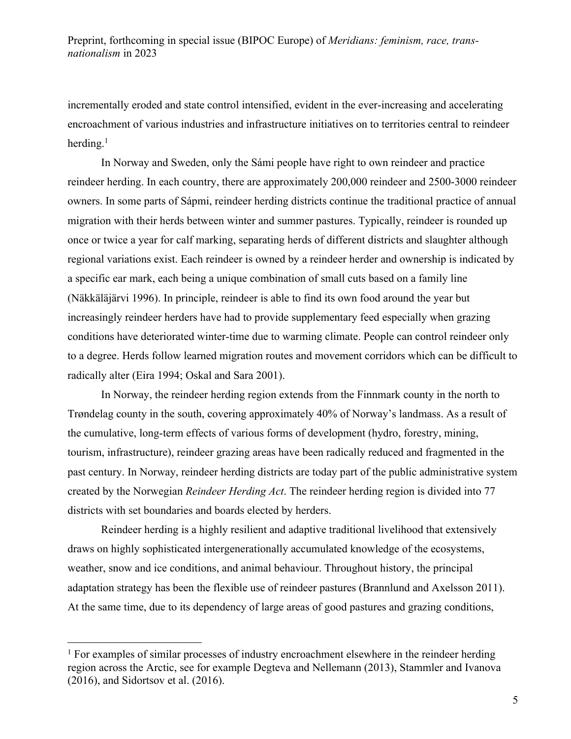incrementally eroded and state control intensified, evident in the ever-increasing and accelerating encroachment of various industries and infrastructure initiatives on to territories central to reindeer herding. $1$ 

In Norway and Sweden, only the Sámi people have right to own reindeer and practice reindeer herding. In each country, there are approximately 200,000 reindeer and 2500-3000 reindeer owners. In some parts of Sápmi, reindeer herding districts continue the traditional practice of annual migration with their herds between winter and summer pastures. Typically, reindeer is rounded up once or twice a year for calf marking, separating herds of different districts and slaughter although regional variations exist. Each reindeer is owned by a reindeer herder and ownership is indicated by a specific ear mark, each being a unique combination of small cuts based on a family line (Näkkäläjärvi 1996). In principle, reindeer is able to find its own food around the year but increasingly reindeer herders have had to provide supplementary feed especially when grazing conditions have deteriorated winter-time due to warming climate. People can control reindeer only to a degree. Herds follow learned migration routes and movement corridors which can be difficult to radically alter (Eira 1994; Oskal and Sara 2001).

In Norway, the reindeer herding region extends from the Finnmark county in the north to Trøndelag county in the south, covering approximately 40% of Norway's landmass. As a result of the cumulative, long-term effects of various forms of development (hydro, forestry, mining, tourism, infrastructure), reindeer grazing areas have been radically reduced and fragmented in the past century. In Norway, reindeer herding districts are today part of the public administrative system created by the Norwegian *Reindeer Herding Act*. The reindeer herding region is divided into 77 districts with set boundaries and boards elected by herders.

Reindeer herding is a highly resilient and adaptive traditional livelihood that extensively draws on highly sophisticated intergenerationally accumulated knowledge of the ecosystems, weather, snow and ice conditions, and animal behaviour. Throughout history, the principal adaptation strategy has been the flexible use of reindeer pastures (Brannlund and Axelsson 2011). At the same time, due to its dependency of large areas of good pastures and grazing conditions,

 $<sup>1</sup>$  For examples of similar processes of industry encroachment elsewhere in the reindeer herding</sup> region across the Arctic, see for example Degteva and Nellemann (2013), Stammler and Ivanova (2016), and Sidortsov et al. (2016).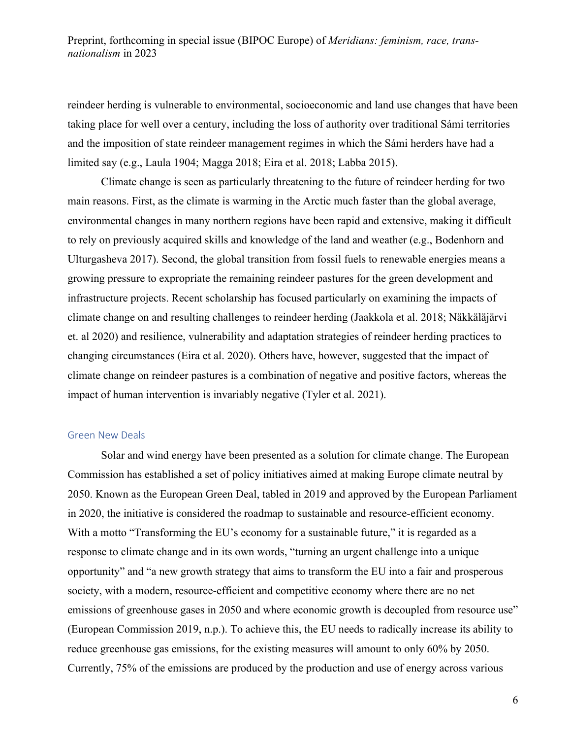reindeer herding is vulnerable to environmental, socioeconomic and land use changes that have been taking place for well over a century, including the loss of authority over traditional Sámi territories and the imposition of state reindeer management regimes in which the Sámi herders have had a limited say (e.g., Laula 1904; Magga 2018; Eira et al. 2018; Labba 2015).

Climate change is seen as particularly threatening to the future of reindeer herding for two main reasons. First, as the climate is warming in the Arctic much faster than the global average, environmental changes in many northern regions have been rapid and extensive, making it difficult to rely on previously acquired skills and knowledge of the land and weather (e.g., Bodenhorn and Ulturgasheva 2017). Second, the global transition from fossil fuels to renewable energies means a growing pressure to expropriate the remaining reindeer pastures for the green development and infrastructure projects. Recent scholarship has focused particularly on examining the impacts of climate change on and resulting challenges to reindeer herding (Jaakkola et al. 2018; Näkkäläjärvi et. al 2020) and resilience, vulnerability and adaptation strategies of reindeer herding practices to changing circumstances (Eira et al. 2020). Others have, however, suggested that the impact of climate change on reindeer pastures is a combination of negative and positive factors, whereas the impact of human intervention is invariably negative (Tyler et al. 2021).

#### Green New Deals

Solar and wind energy have been presented as a solution for climate change. The European Commission has established a set of policy initiatives aimed at making Europe climate neutral by 2050. Known as the European Green Deal, tabled in 2019 and approved by the European Parliament in 2020, the initiative is considered the roadmap to sustainable and resource-efficient economy. With a motto "Transforming the EU's economy for a sustainable future," it is regarded as a response to climate change and in its own words, "turning an urgent challenge into a unique opportunity" and "a new growth strategy that aims to transform the EU into a fair and prosperous society, with a modern, resource-efficient and competitive economy where there are no net emissions of greenhouse gases in 2050 and where economic growth is decoupled from resource use" (European Commission 2019, n.p.). To achieve this, the EU needs to radically increase its ability to reduce greenhouse gas emissions, for the existing measures will amount to only 60% by 2050. Currently, 75% of the emissions are produced by the production and use of energy across various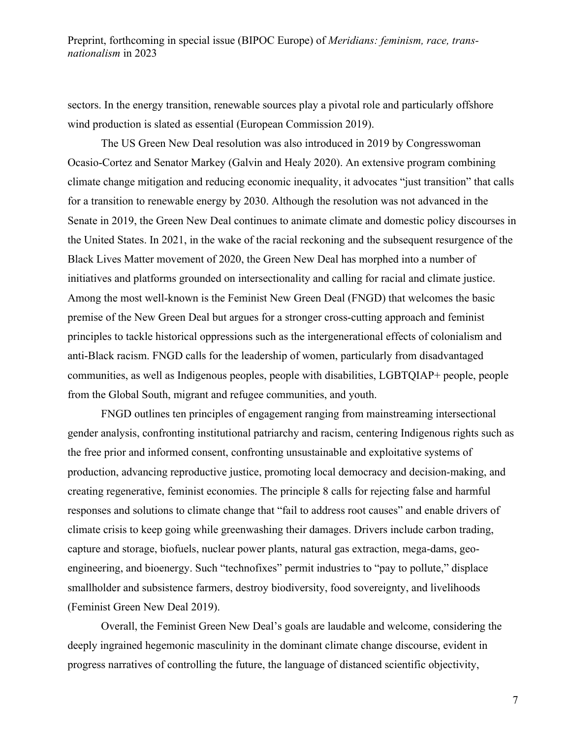sectors. In the energy transition, renewable sources play a pivotal role and particularly offshore wind production is slated as essential (European Commission 2019).

The US Green New Deal resolution was also introduced in 2019 by Congresswoman Ocasio-Cortez and Senator Markey (Galvin and Healy 2020). An extensive program combining climate change mitigation and reducing economic inequality, it advocates "just transition" that calls for a transition to renewable energy by 2030. Although the resolution was not advanced in the Senate in 2019, the Green New Deal continues to animate climate and domestic policy discourses in the United States. In 2021, in the wake of the racial reckoning and the subsequent resurgence of the Black Lives Matter movement of 2020, the Green New Deal has morphed into a number of initiatives and platforms grounded on intersectionality and calling for racial and climate justice. Among the most well-known is the Feminist New Green Deal (FNGD) that welcomes the basic premise of the New Green Deal but argues for a stronger cross-cutting approach and feminist principles to tackle historical oppressions such as the intergenerational effects of colonialism and anti-Black racism. FNGD calls for the leadership of women, particularly from disadvantaged communities, as well as Indigenous peoples, people with disabilities, LGBTQIAP+ people, people from the Global South, migrant and refugee communities, and youth.

FNGD outlines ten principles of engagement ranging from mainstreaming intersectional gender analysis, confronting institutional patriarchy and racism, centering Indigenous rights such as the free prior and informed consent, confronting unsustainable and exploitative systems of production, advancing reproductive justice, promoting local democracy and decision-making, and creating regenerative, feminist economies. The principle 8 calls for rejecting false and harmful responses and solutions to climate change that "fail to address root causes" and enable drivers of climate crisis to keep going while greenwashing their damages. Drivers include carbon trading, capture and storage, biofuels, nuclear power plants, natural gas extraction, mega-dams, geoengineering, and bioenergy. Such "technofixes" permit industries to "pay to pollute," displace smallholder and subsistence farmers, destroy biodiversity, food sovereignty, and livelihoods (Feminist Green New Deal 2019).

Overall, the Feminist Green New Deal's goals are laudable and welcome, considering the deeply ingrained hegemonic masculinity in the dominant climate change discourse, evident in progress narratives of controlling the future, the language of distanced scientific objectivity,

7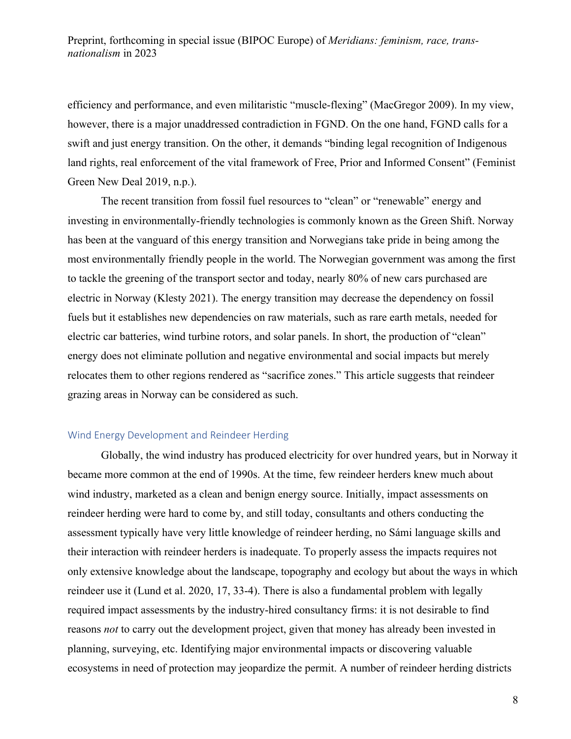efficiency and performance, and even militaristic "muscle-flexing" (MacGregor 2009). In my view, however, there is a major unaddressed contradiction in FGND. On the one hand, FGND calls for a swift and just energy transition. On the other, it demands "binding legal recognition of Indigenous land rights, real enforcement of the vital framework of Free, Prior and Informed Consent" (Feminist Green New Deal 2019, n.p.).

The recent transition from fossil fuel resources to "clean" or "renewable" energy and investing in environmentally-friendly technologies is commonly known as the Green Shift. Norway has been at the vanguard of this energy transition and Norwegians take pride in being among the most environmentally friendly people in the world. The Norwegian government was among the first to tackle the greening of the transport sector and today, nearly 80% of new cars purchased are electric in Norway (Klesty 2021). The energy transition may decrease the dependency on fossil fuels but it establishes new dependencies on raw materials, such as rare earth metals, needed for electric car batteries, wind turbine rotors, and solar panels. In short, the production of "clean" energy does not eliminate pollution and negative environmental and social impacts but merely relocates them to other regions rendered as "sacrifice zones." This article suggests that reindeer grazing areas in Norway can be considered as such.

#### Wind Energy Development and Reindeer Herding

Globally, the wind industry has produced electricity for over hundred years, but in Norway it became more common at the end of 1990s. At the time, few reindeer herders knew much about wind industry, marketed as a clean and benign energy source. Initially, impact assessments on reindeer herding were hard to come by, and still today, consultants and others conducting the assessment typically have very little knowledge of reindeer herding, no Sámi language skills and their interaction with reindeer herders is inadequate. To properly assess the impacts requires not only extensive knowledge about the landscape, topography and ecology but about the ways in which reindeer use it (Lund et al. 2020, 17, 33-4). There is also a fundamental problem with legally required impact assessments by the industry-hired consultancy firms: it is not desirable to find reasons *not* to carry out the development project, given that money has already been invested in planning, surveying, etc. Identifying major environmental impacts or discovering valuable ecosystems in need of protection may jeopardize the permit. A number of reindeer herding districts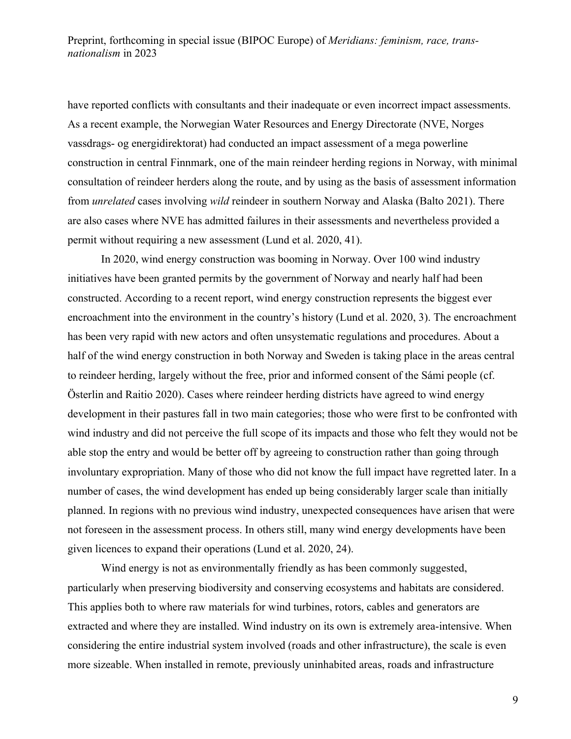have reported conflicts with consultants and their inadequate or even incorrect impact assessments. As a recent example, the Norwegian Water Resources and Energy Directorate (NVE, Norges vassdrags- og energidirektorat) had conducted an impact assessment of a mega powerline construction in central Finnmark, one of the main reindeer herding regions in Norway, with minimal consultation of reindeer herders along the route, and by using as the basis of assessment information from *unrelated* cases involving *wild* reindeer in southern Norway and Alaska (Balto 2021). There are also cases where NVE has admitted failures in their assessments and nevertheless provided a permit without requiring a new assessment (Lund et al. 2020, 41).

In 2020, wind energy construction was booming in Norway. Over 100 wind industry initiatives have been granted permits by the government of Norway and nearly half had been constructed. According to a recent report, wind energy construction represents the biggest ever encroachment into the environment in the country's history (Lund et al. 2020, 3). The encroachment has been very rapid with new actors and often unsystematic regulations and procedures. About a half of the wind energy construction in both Norway and Sweden is taking place in the areas central to reindeer herding, largely without the free, prior and informed consent of the Sámi people (cf. Österlin and Raitio 2020). Cases where reindeer herding districts have agreed to wind energy development in their pastures fall in two main categories; those who were first to be confronted with wind industry and did not perceive the full scope of its impacts and those who felt they would not be able stop the entry and would be better off by agreeing to construction rather than going through involuntary expropriation. Many of those who did not know the full impact have regretted later. In a number of cases, the wind development has ended up being considerably larger scale than initially planned. In regions with no previous wind industry, unexpected consequences have arisen that were not foreseen in the assessment process. In others still, many wind energy developments have been given licences to expand their operations (Lund et al. 2020, 24).

Wind energy is not as environmentally friendly as has been commonly suggested, particularly when preserving biodiversity and conserving ecosystems and habitats are considered. This applies both to where raw materials for wind turbines, rotors, cables and generators are extracted and where they are installed. Wind industry on its own is extremely area-intensive. When considering the entire industrial system involved (roads and other infrastructure), the scale is even more sizeable. When installed in remote, previously uninhabited areas, roads and infrastructure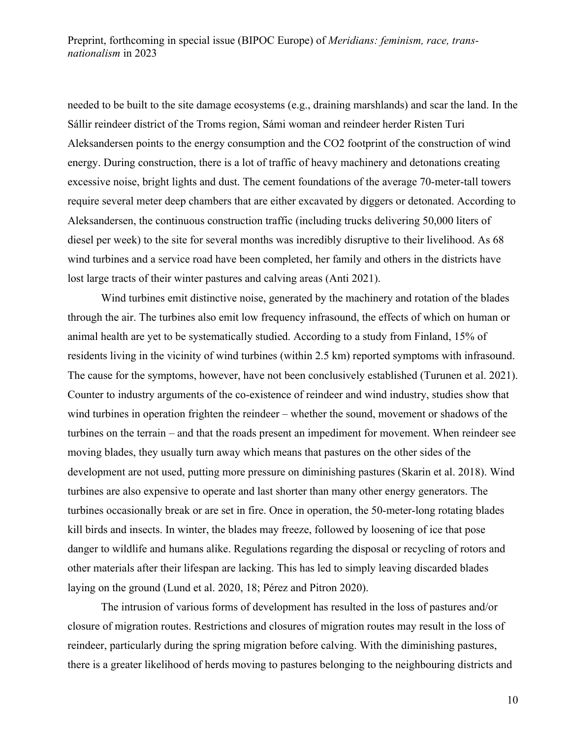needed to be built to the site damage ecosystems (e.g., draining marshlands) and scar the land. In the Sállir reindeer district of the Troms region, Sámi woman and reindeer herder Risten Turi Aleksandersen points to the energy consumption and the CO2 footprint of the construction of wind energy. During construction, there is a lot of traffic of heavy machinery and detonations creating excessive noise, bright lights and dust. The cement foundations of the average 70-meter-tall towers require several meter deep chambers that are either excavated by diggers or detonated. According to Aleksandersen, the continuous construction traffic (including trucks delivering 50,000 liters of diesel per week) to the site for several months was incredibly disruptive to their livelihood. As 68 wind turbines and a service road have been completed, her family and others in the districts have lost large tracts of their winter pastures and calving areas (Anti 2021).

Wind turbines emit distinctive noise, generated by the machinery and rotation of the blades through the air. The turbines also emit low frequency infrasound, the effects of which on human or animal health are yet to be systematically studied. According to a study from Finland, 15% of residents living in the vicinity of wind turbines (within 2.5 km) reported symptoms with infrasound. The cause for the symptoms, however, have not been conclusively established (Turunen et al. 2021). Counter to industry arguments of the co-existence of reindeer and wind industry, studies show that wind turbines in operation frighten the reindeer – whether the sound, movement or shadows of the turbines on the terrain – and that the roads present an impediment for movement. When reindeer see moving blades, they usually turn away which means that pastures on the other sides of the development are not used, putting more pressure on diminishing pastures (Skarin et al. 2018). Wind turbines are also expensive to operate and last shorter than many other energy generators. The turbines occasionally break or are set in fire. Once in operation, the 50-meter-long rotating blades kill birds and insects. In winter, the blades may freeze, followed by loosening of ice that pose danger to wildlife and humans alike. Regulations regarding the disposal or recycling of rotors and other materials after their lifespan are lacking. This has led to simply leaving discarded blades laying on the ground (Lund et al. 2020, 18; Pérez and Pitron 2020).

The intrusion of various forms of development has resulted in the loss of pastures and/or closure of migration routes. Restrictions and closures of migration routes may result in the loss of reindeer, particularly during the spring migration before calving. With the diminishing pastures, there is a greater likelihood of herds moving to pastures belonging to the neighbouring districts and

10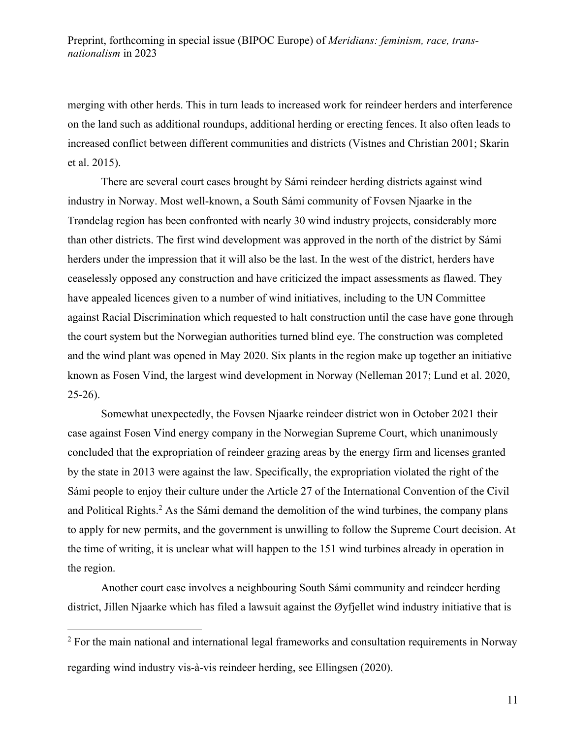merging with other herds. This in turn leads to increased work for reindeer herders and interference on the land such as additional roundups, additional herding or erecting fences. It also often leads to increased conflict between different communities and districts (Vistnes and Christian 2001; Skarin et al. 2015).

There are several court cases brought by Sámi reindeer herding districts against wind industry in Norway. Most well-known, a South Sámi community of Fovsen Njaarke in the Trøndelag region has been confronted with nearly 30 wind industry projects, considerably more than other districts. The first wind development was approved in the north of the district by Sámi herders under the impression that it will also be the last. In the west of the district, herders have ceaselessly opposed any construction and have criticized the impact assessments as flawed. They have appealed licences given to a number of wind initiatives, including to the UN Committee against Racial Discrimination which requested to halt construction until the case have gone through the court system but the Norwegian authorities turned blind eye. The construction was completed and the wind plant was opened in May 2020. Six plants in the region make up together an initiative known as Fosen Vind, the largest wind development in Norway (Nelleman 2017; Lund et al. 2020, 25-26).

Somewhat unexpectedly, the Fovsen Njaarke reindeer district won in October 2021 their case against Fosen Vind energy company in the Norwegian Supreme Court, which unanimously concluded that the expropriation of reindeer grazing areas by the energy firm and licenses granted by the state in 2013 were against the law. Specifically, the expropriation violated the right of the Sámi people to enjoy their culture under the Article 27 of the International Convention of the Civil and Political Rights.<sup>2</sup> As the Sámi demand the demolition of the wind turbines, the company plans to apply for new permits, and the government is unwilling to follow the Supreme Court decision. At the time of writing, it is unclear what will happen to the 151 wind turbines already in operation in the region.

Another court case involves a neighbouring South Sámi community and reindeer herding district, Jillen Njaarke which has filed a lawsuit against the Øyfjellet wind industry initiative that is

<sup>&</sup>lt;sup>2</sup> For the main national and international legal frameworks and consultation requirements in Norway regarding wind industry vis-à-vis reindeer herding, see Ellingsen (2020).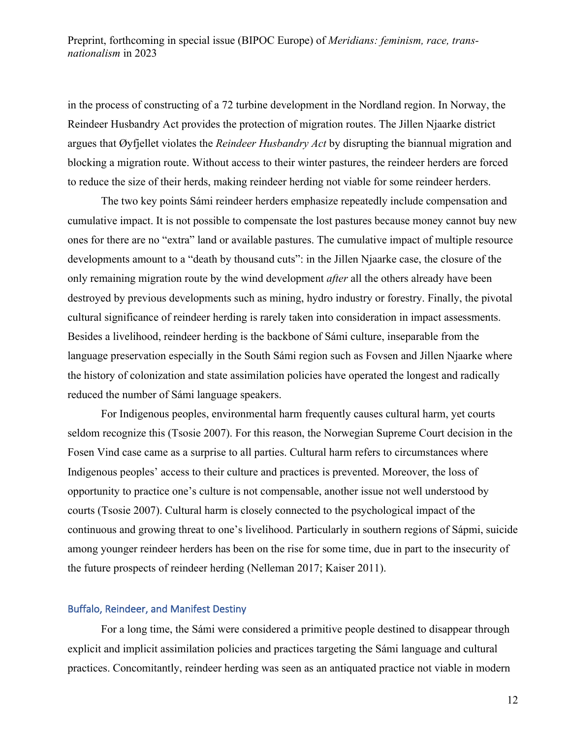in the process of constructing of a 72 turbine development in the Nordland region. In Norway, the Reindeer Husbandry Act provides the protection of migration routes. The Jillen Njaarke district argues that Øyfjellet violates the *Reindeer Husbandry Act* by disrupting the biannual migration and blocking a migration route. Without access to their winter pastures, the reindeer herders are forced to reduce the size of their herds, making reindeer herding not viable for some reindeer herders.

The two key points Sámi reindeer herders emphasize repeatedly include compensation and cumulative impact. It is not possible to compensate the lost pastures because money cannot buy new ones for there are no "extra" land or available pastures. The cumulative impact of multiple resource developments amount to a "death by thousand cuts": in the Jillen Njaarke case, the closure of the only remaining migration route by the wind development *after* all the others already have been destroyed by previous developments such as mining, hydro industry or forestry. Finally, the pivotal cultural significance of reindeer herding is rarely taken into consideration in impact assessments. Besides a livelihood, reindeer herding is the backbone of Sámi culture, inseparable from the language preservation especially in the South Sámi region such as Fovsen and Jillen Njaarke where the history of colonization and state assimilation policies have operated the longest and radically reduced the number of Sámi language speakers.

For Indigenous peoples, environmental harm frequently causes cultural harm, yet courts seldom recognize this (Tsosie 2007). For this reason, the Norwegian Supreme Court decision in the Fosen Vind case came as a surprise to all parties. Cultural harm refers to circumstances where Indigenous peoples' access to their culture and practices is prevented. Moreover, the loss of opportunity to practice one's culture is not compensable, another issue not well understood by courts (Tsosie 2007). Cultural harm is closely connected to the psychological impact of the continuous and growing threat to one's livelihood. Particularly in southern regions of Sápmi, suicide among younger reindeer herders has been on the rise for some time, due in part to the insecurity of the future prospects of reindeer herding (Nelleman 2017; Kaiser 2011).

#### Buffalo, Reindeer, and Manifest Destiny

For a long time, the Sámi were considered a primitive people destined to disappear through explicit and implicit assimilation policies and practices targeting the Sámi language and cultural practices. Concomitantly, reindeer herding was seen as an antiquated practice not viable in modern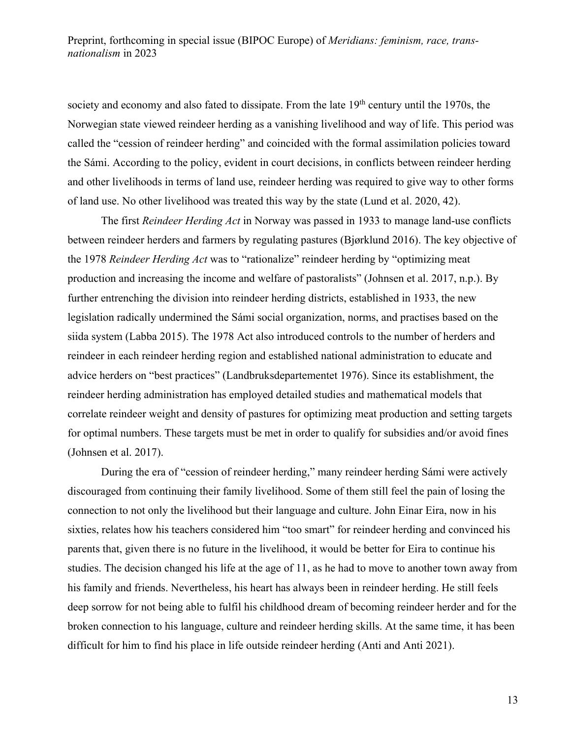society and economy and also fated to dissipate. From the late 19<sup>th</sup> century until the 1970s, the Norwegian state viewed reindeer herding as a vanishing livelihood and way of life. This period was called the "cession of reindeer herding" and coincided with the formal assimilation policies toward the Sámi. According to the policy, evident in court decisions, in conflicts between reindeer herding and other livelihoods in terms of land use, reindeer herding was required to give way to other forms of land use. No other livelihood was treated this way by the state (Lund et al. 2020, 42).

The first *Reindeer Herding Act* in Norway was passed in 1933 to manage land-use conflicts between reindeer herders and farmers by regulating pastures (Bjørklund 2016). The key objective of the 1978 *Reindeer Herding Act* was to "rationalize" reindeer herding by "optimizing meat production and increasing the income and welfare of pastoralists" (Johnsen et al. 2017, n.p.). By further entrenching the division into reindeer herding districts, established in 1933, the new legislation radically undermined the Sámi social organization, norms, and practises based on the siida system (Labba 2015). The 1978 Act also introduced controls to the number of herders and reindeer in each reindeer herding region and established national administration to educate and advice herders on "best practices" (Landbruksdepartementet 1976). Since its establishment, the reindeer herding administration has employed detailed studies and mathematical models that correlate reindeer weight and density of pastures for optimizing meat production and setting targets for optimal numbers. These targets must be met in order to qualify for subsidies and/or avoid fines (Johnsen et al. 2017).

During the era of "cession of reindeer herding," many reindeer herding Sámi were actively discouraged from continuing their family livelihood. Some of them still feel the pain of losing the connection to not only the livelihood but their language and culture. John Einar Eira, now in his sixties, relates how his teachers considered him "too smart" for reindeer herding and convinced his parents that, given there is no future in the livelihood, it would be better for Eira to continue his studies. The decision changed his life at the age of 11, as he had to move to another town away from his family and friends. Nevertheless, his heart has always been in reindeer herding. He still feels deep sorrow for not being able to fulfil his childhood dream of becoming reindeer herder and for the broken connection to his language, culture and reindeer herding skills. At the same time, it has been difficult for him to find his place in life outside reindeer herding (Anti and Anti 2021).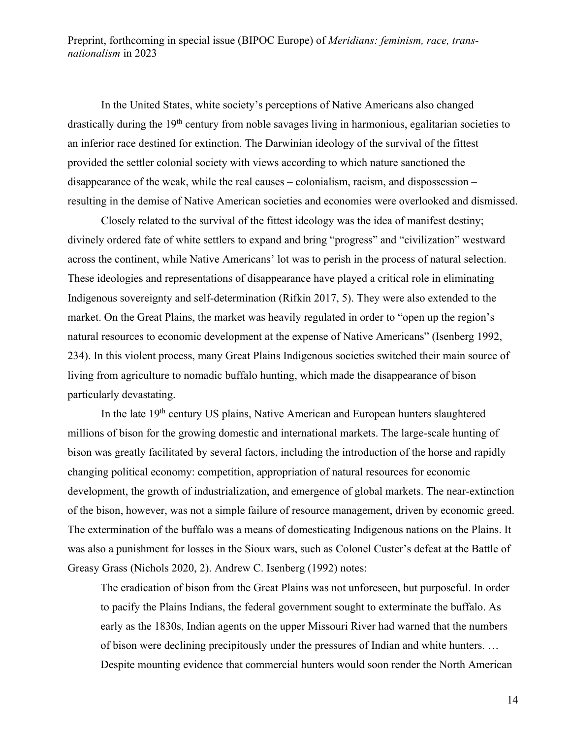In the United States, white society's perceptions of Native Americans also changed drastically during the 19<sup>th</sup> century from noble savages living in harmonious, egalitarian societies to an inferior race destined for extinction. The Darwinian ideology of the survival of the fittest provided the settler colonial society with views according to which nature sanctioned the disappearance of the weak, while the real causes – colonialism, racism, and dispossession – resulting in the demise of Native American societies and economies were overlooked and dismissed.

Closely related to the survival of the fittest ideology was the idea of manifest destiny; divinely ordered fate of white settlers to expand and bring "progress" and "civilization" westward across the continent, while Native Americans' lot was to perish in the process of natural selection. These ideologies and representations of disappearance have played a critical role in eliminating Indigenous sovereignty and self-determination (Rifkin 2017, 5). They were also extended to the market. On the Great Plains, the market was heavily regulated in order to "open up the region's natural resources to economic development at the expense of Native Americans" (Isenberg 1992, 234). In this violent process, many Great Plains Indigenous societies switched their main source of living from agriculture to nomadic buffalo hunting, which made the disappearance of bison particularly devastating.

In the late 19<sup>th</sup> century US plains, Native American and European hunters slaughtered millions of bison for the growing domestic and international markets. The large-scale hunting of bison was greatly facilitated by several factors, including the introduction of the horse and rapidly changing political economy: competition, appropriation of natural resources for economic development, the growth of industrialization, and emergence of global markets. The near-extinction of the bison, however, was not a simple failure of resource management, driven by economic greed. The extermination of the buffalo was a means of domesticating Indigenous nations on the Plains. It was also a punishment for losses in the Sioux wars, such as Colonel Custer's defeat at the Battle of Greasy Grass (Nichols 2020, 2). Andrew C. Isenberg (1992) notes:

The eradication of bison from the Great Plains was not unforeseen, but purposeful. In order to pacify the Plains Indians, the federal government sought to exterminate the buffalo. As early as the 1830s, Indian agents on the upper Missouri River had warned that the numbers of bison were declining precipitously under the pressures of Indian and white hunters. … Despite mounting evidence that commercial hunters would soon render the North American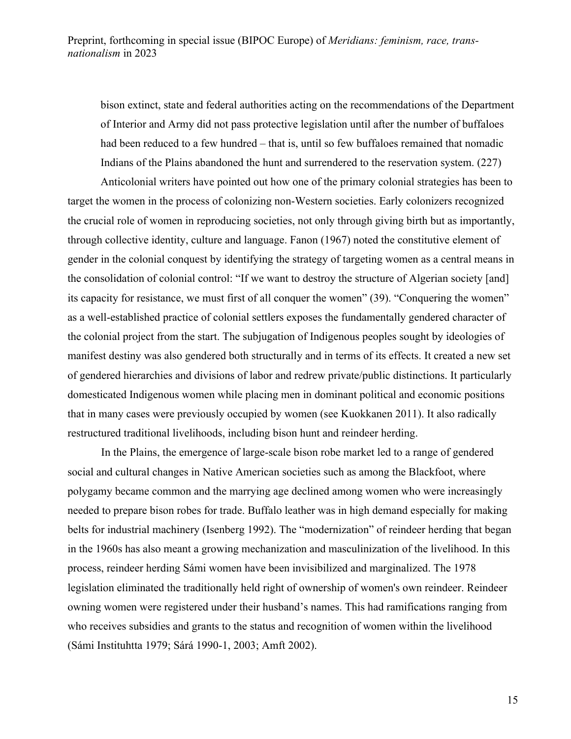bison extinct, state and federal authorities acting on the recommendations of the Department of Interior and Army did not pass protective legislation until after the number of buffaloes had been reduced to a few hundred – that is, until so few buffaloes remained that nomadic Indians of the Plains abandoned the hunt and surrendered to the reservation system. (227)

Anticolonial writers have pointed out how one of the primary colonial strategies has been to target the women in the process of colonizing non-Western societies. Early colonizers recognized the crucial role of women in reproducing societies, not only through giving birth but as importantly, through collective identity, culture and language. Fanon (1967) noted the constitutive element of gender in the colonial conquest by identifying the strategy of targeting women as a central means in the consolidation of colonial control: "If we want to destroy the structure of Algerian society [and] its capacity for resistance, we must first of all conquer the women" (39). "Conquering the women" as a well-established practice of colonial settlers exposes the fundamentally gendered character of the colonial project from the start. The subjugation of Indigenous peoples sought by ideologies of manifest destiny was also gendered both structurally and in terms of its effects. It created a new set of gendered hierarchies and divisions of labor and redrew private/public distinctions. It particularly domesticated Indigenous women while placing men in dominant political and economic positions that in many cases were previously occupied by women (see Kuokkanen 2011). It also radically restructured traditional livelihoods, including bison hunt and reindeer herding.

In the Plains, the emergence of large-scale bison robe market led to a range of gendered social and cultural changes in Native American societies such as among the Blackfoot, where polygamy became common and the marrying age declined among women who were increasingly needed to prepare bison robes for trade. Buffalo leather was in high demand especially for making belts for industrial machinery (Isenberg 1992). The "modernization" of reindeer herding that began in the 1960s has also meant a growing mechanization and masculinization of the livelihood. In this process, reindeer herding Sámi women have been invisibilized and marginalized. The 1978 legislation eliminated the traditionally held right of ownership of women's own reindeer. Reindeer owning women were registered under their husband's names. This had ramifications ranging from who receives subsidies and grants to the status and recognition of women within the livelihood (Sámi Instituhtta 1979; Sárá 1990-1, 2003; Amft 2002).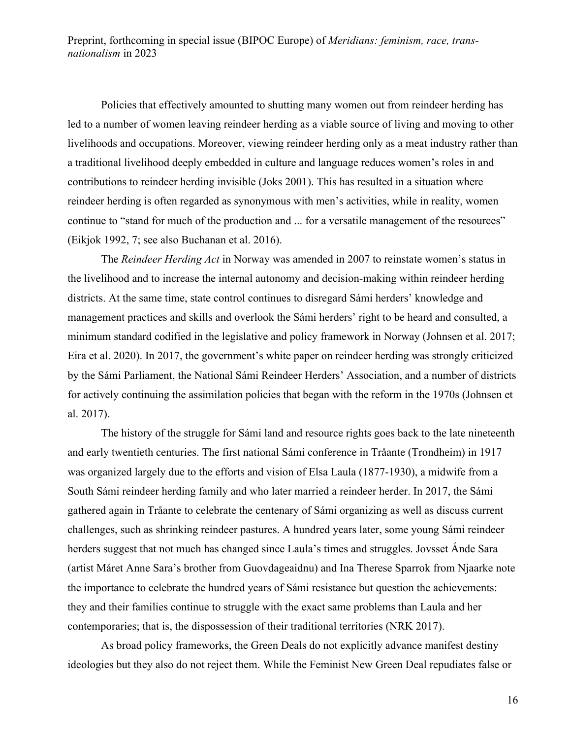Policies that effectively amounted to shutting many women out from reindeer herding has led to a number of women leaving reindeer herding as a viable source of living and moving to other livelihoods and occupations. Moreover, viewing reindeer herding only as a meat industry rather than a traditional livelihood deeply embedded in culture and language reduces women's roles in and contributions to reindeer herding invisible (Joks 2001). This has resulted in a situation where reindeer herding is often regarded as synonymous with men's activities, while in reality, women continue to "stand for much of the production and ... for a versatile management of the resources" (Eikjok 1992, 7; see also Buchanan et al. 2016).

The *Reindeer Herding Act* in Norway was amended in 2007 to reinstate women's status in the livelihood and to increase the internal autonomy and decision-making within reindeer herding districts. At the same time, state control continues to disregard Sámi herders' knowledge and management practices and skills and overlook the Sámi herders' right to be heard and consulted, a minimum standard codified in the legislative and policy framework in Norway (Johnsen et al. 2017; Eira et al. 2020). In 2017, the government's white paper on reindeer herding was strongly criticized by the Sámi Parliament, the National Sámi Reindeer Herders' Association, and a number of districts for actively continuing the assimilation policies that began with the reform in the 1970s (Johnsen et al. 2017).

The history of the struggle for Sámi land and resource rights goes back to the late nineteenth and early twentieth centuries. The first national Sámi conference in Tråante (Trondheim) in 1917 was organized largely due to the efforts and vision of Elsa Laula (1877-1930), a midwife from a South Sámi reindeer herding family and who later married a reindeer herder. In 2017, the Sámi gathered again in Tråante to celebrate the centenary of Sámi organizing as well as discuss current challenges, such as shrinking reindeer pastures. A hundred years later, some young Sámi reindeer herders suggest that not much has changed since Laula's times and struggles. Jovsset Ánde Sara (artist Máret Anne Sara's brother from Guovdageaidnu) and Ina Therese Sparrok from Njaarke note the importance to celebrate the hundred years of Sámi resistance but question the achievements: they and their families continue to struggle with the exact same problems than Laula and her contemporaries; that is, the dispossession of their traditional territories (NRK 2017).

As broad policy frameworks, the Green Deals do not explicitly advance manifest destiny ideologies but they also do not reject them. While the Feminist New Green Deal repudiates false or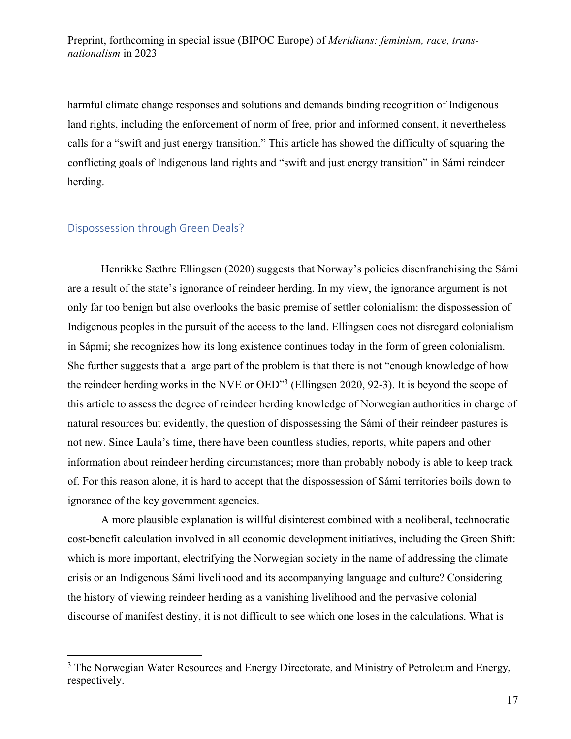harmful climate change responses and solutions and demands binding recognition of Indigenous land rights, including the enforcement of norm of free, prior and informed consent, it nevertheless calls for a "swift and just energy transition." This article has showed the difficulty of squaring the conflicting goals of Indigenous land rights and "swift and just energy transition" in Sámi reindeer herding.

### Dispossession through Green Deals?

Henrikke Sæthre Ellingsen (2020) suggests that Norway's policies disenfranchising the Sámi are a result of the state's ignorance of reindeer herding. In my view, the ignorance argument is not only far too benign but also overlooks the basic premise of settler colonialism: the dispossession of Indigenous peoples in the pursuit of the access to the land. Ellingsen does not disregard colonialism in Sápmi; she recognizes how its long existence continues today in the form of green colonialism. She further suggests that a large part of the problem is that there is not "enough knowledge of how the reindeer herding works in the NVE or OED"3 (Ellingsen 2020, 92-3). It is beyond the scope of this article to assess the degree of reindeer herding knowledge of Norwegian authorities in charge of natural resources but evidently, the question of dispossessing the Sámi of their reindeer pastures is not new. Since Laula's time, there have been countless studies, reports, white papers and other information about reindeer herding circumstances; more than probably nobody is able to keep track of. For this reason alone, it is hard to accept that the dispossession of Sámi territories boils down to ignorance of the key government agencies.

A more plausible explanation is willful disinterest combined with a neoliberal, technocratic cost-benefit calculation involved in all economic development initiatives, including the Green Shift: which is more important, electrifying the Norwegian society in the name of addressing the climate crisis or an Indigenous Sámi livelihood and its accompanying language and culture? Considering the history of viewing reindeer herding as a vanishing livelihood and the pervasive colonial discourse of manifest destiny, it is not difficult to see which one loses in the calculations. What is

<sup>&</sup>lt;sup>3</sup> The Norwegian Water Resources and Energy Directorate, and Ministry of Petroleum and Energy, respectively.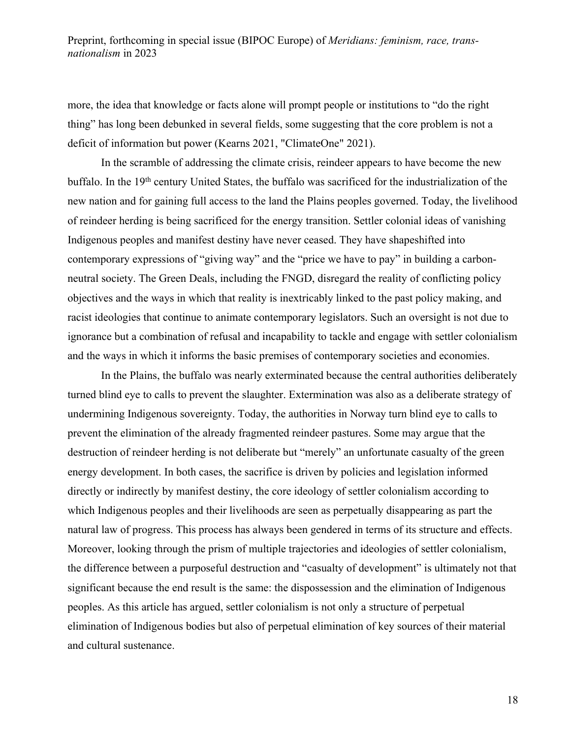more, the idea that knowledge or facts alone will prompt people or institutions to "do the right thing" has long been debunked in several fields, some suggesting that the core problem is not a deficit of information but power (Kearns 2021, "ClimateOne" 2021).

In the scramble of addressing the climate crisis, reindeer appears to have become the new buffalo. In the 19<sup>th</sup> century United States, the buffalo was sacrificed for the industrialization of the new nation and for gaining full access to the land the Plains peoples governed. Today, the livelihood of reindeer herding is being sacrificed for the energy transition. Settler colonial ideas of vanishing Indigenous peoples and manifest destiny have never ceased. They have shapeshifted into contemporary expressions of "giving way" and the "price we have to pay" in building a carbonneutral society. The Green Deals, including the FNGD, disregard the reality of conflicting policy objectives and the ways in which that reality is inextricably linked to the past policy making, and racist ideologies that continue to animate contemporary legislators. Such an oversight is not due to ignorance but a combination of refusal and incapability to tackle and engage with settler colonialism and the ways in which it informs the basic premises of contemporary societies and economies.

In the Plains, the buffalo was nearly exterminated because the central authorities deliberately turned blind eye to calls to prevent the slaughter. Extermination was also as a deliberate strategy of undermining Indigenous sovereignty. Today, the authorities in Norway turn blind eye to calls to prevent the elimination of the already fragmented reindeer pastures. Some may argue that the destruction of reindeer herding is not deliberate but "merely" an unfortunate casualty of the green energy development. In both cases, the sacrifice is driven by policies and legislation informed directly or indirectly by manifest destiny, the core ideology of settler colonialism according to which Indigenous peoples and their livelihoods are seen as perpetually disappearing as part the natural law of progress. This process has always been gendered in terms of its structure and effects. Moreover, looking through the prism of multiple trajectories and ideologies of settler colonialism, the difference between a purposeful destruction and "casualty of development" is ultimately not that significant because the end result is the same: the dispossession and the elimination of Indigenous peoples. As this article has argued, settler colonialism is not only a structure of perpetual elimination of Indigenous bodies but also of perpetual elimination of key sources of their material and cultural sustenance.

18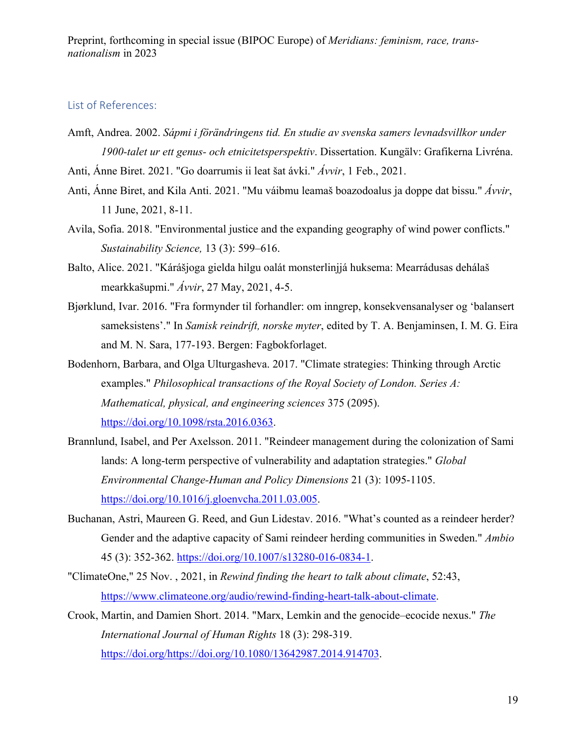## List of References:

Amft, Andrea. 2002. *Sápmi i förändringens tid. En studie av svenska samers levnadsvillkor under 1900-talet ur ett genus- och etnicitetsperspektiv*. Dissertation. Kungälv: Grafikerna Livréna.

Anti, Ánne Biret. 2021. "Go doarrumis ii leat šat ávki." *Ávvir*, 1 Feb., 2021.

- Anti, Ánne Biret, and Kila Anti. 2021. "Mu váibmu leamaš boazodoalus ja doppe dat bissu." *Ávvir*, 11 June, 2021, 8-11.
- Avila, Sofia. 2018. "Environmental justice and the expanding geography of wind power conflicts." *Sustainability Science,* 13 (3): 599–616.
- Balto, Alice. 2021. "Kárášjoga gielda hilgu oalát monsterlinjjá huksema: Mearrádusas dehálaš mearkkašupmi." *Ávvir*, 27 May, 2021, 4-5.
- Bjørklund, Ivar. 2016. "Fra formynder til forhandler: om inngrep, konsekvensanalyser og 'balansert sameksistens'." In *Samisk reindrift, norske myter*, edited by T. A. Benjaminsen, I. M. G. Eira and M. N. Sara, 177-193. Bergen: Fagbokforlaget.
- Bodenhorn, Barbara, and Olga Ulturgasheva. 2017. "Climate strategies: Thinking through Arctic examples." *Philosophical transactions of the Royal Society of London. Series A: Mathematical, physical, and engineering sciences* 375 (2095). https://doi.org/10.1098/rsta.2016.0363.
- Brannlund, Isabel, and Per Axelsson. 2011. "Reindeer management during the colonization of Sami lands: A long-term perspective of vulnerability and adaptation strategies." *Global Environmental Change-Human and Policy Dimensions* 21 (3): 1095-1105. https://doi.org/10.1016/j.gloenvcha.2011.03.005.
- Buchanan, Astri, Maureen G. Reed, and Gun Lidestav. 2016. "What's counted as a reindeer herder? Gender and the adaptive capacity of Sami reindeer herding communities in Sweden." *Ambio* 45 (3): 352-362. https://doi.org/10.1007/s13280-016-0834-1.
- "ClimateOne," 25 Nov. , 2021, in *Rewind finding the heart to talk about climate*, 52:43, https://www.climateone.org/audio/rewind-finding-heart-talk-about-climate.
- Crook, Martin, and Damien Short. 2014. "Marx, Lemkin and the genocide–ecocide nexus." *The International Journal of Human Rights* 18 (3): 298-319. https://doi.org/https://doi.org/10.1080/13642987.2014.914703.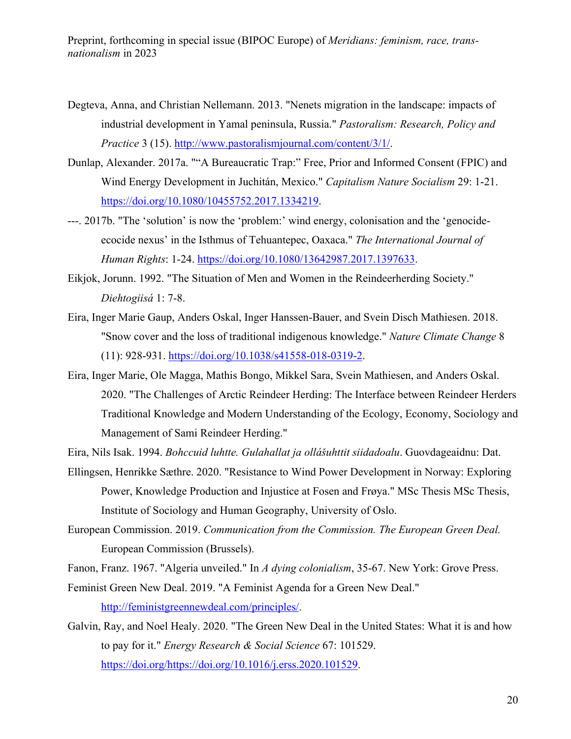- Degteva, Anna, and Christian Nellemann. 2013. "Nenets migration in the landscape: impacts of industrial development in Yamal peninsula, Russia." *Pastoralism: Research, Policy and Practice* 3 (15). http://www.pastoralismjournal.com/content/3/1/.
- Dunlap, Alexander. 2017a. ""A Bureaucratic Trap:" Free, Prior and Informed Consent (FPIC) and Wind Energy Development in Juchitán, Mexico." *Capitalism Nature Socialism* 29: 1-21. https://doi.org/10.1080/10455752.2017.1334219.
- ---. 2017b. "The 'solution' is now the 'problem:' wind energy, colonisation and the 'genocideecocide nexus' in the Isthmus of Tehuantepec, Oaxaca." *The International Journal of Human Rights*: 1-24. https://doi.org/10.1080/13642987.2017.1397633.
- Eikjok, Jorunn. 1992. "The Situation of Men and Women in the Reindeerherding Society." *Diehtogiisá* 1: 7-8.
- Eira, Inger Marie Gaup, Anders Oskal, Inger Hanssen-Bauer, and Svein Disch Mathiesen. 2018. "Snow cover and the loss of traditional indigenous knowledge." *Nature Climate Change* 8 (11): 928-931. https://doi.org/10.1038/s41558-018-0319-2.
- Eira, Inger Marie, Ole Magga, Mathis Bongo, Mikkel Sara, Svein Mathiesen, and Anders Oskal. 2020. "The Challenges of Arctic Reindeer Herding: The Interface between Reindeer Herders Traditional Knowledge and Modern Understanding of the Ecology, Economy, Sociology and Management of Sami Reindeer Herding."

Eira, Nils Isak. 1994. *Bohccuid luhtte. Gulahallat ja ollášuhttit siidadoalu*. Guovdageaidnu: Dat.

- Ellingsen, Henrikke Sæthre. 2020. "Resistance to Wind Power Development in Norway: Exploring Power, Knowledge Production and Injustice at Fosen and Frøya." MSc Thesis MSc Thesis, Institute of Sociology and Human Geography, University of Oslo.
- European Commission. 2019. *Communication from the Commission. The European Green Deal.*  European Commission (Brussels).

Fanon, Franz. 1967. "Algeria unveiled." In *A dying colonialism*, 35-67. New York: Grove Press.

- Feminist Green New Deal. 2019. "A Feminist Agenda for a Green New Deal." http://feministgreennewdeal.com/principles/.
- Galvin, Ray, and Noel Healy. 2020. "The Green New Deal in the United States: What it is and how to pay for it." *Energy Research & Social Science* 67: 101529. https://doi.org/https://doi.org/10.1016/j.erss.2020.101529.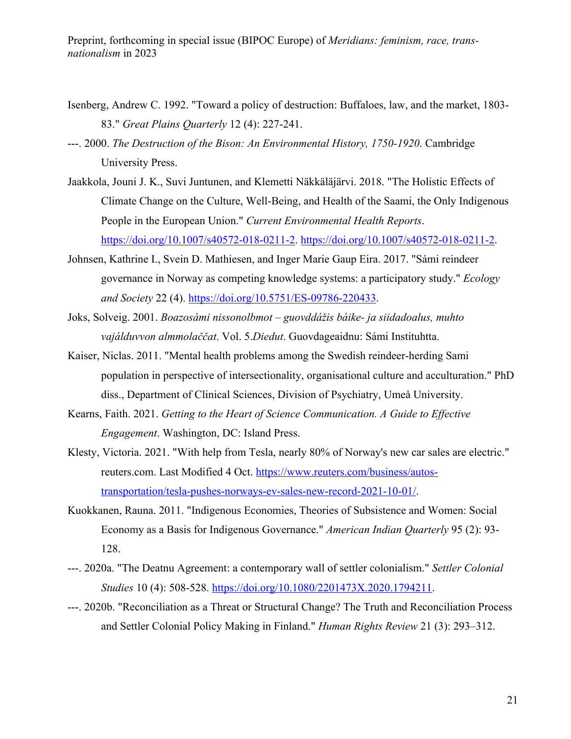- Isenberg, Andrew C. 1992. "Toward a policy of destruction: Buffaloes, law, and the market, 1803- 83." *Great Plains Quarterly* 12 (4): 227-241.
- ---. 2000. *The Destruction of the Bison: An Environmental History, 1750-1920*. Cambridge University Press.
- Jaakkola, Jouni J. K., Suvi Juntunen, and Klemetti Näkkäläjärvi. 2018. "The Holistic Effects of Climate Change on the Culture, Well-Being, and Health of the Saami, the Only Indigenous People in the European Union." *Current Environmental Health Reports*. https://doi.org/10.1007/s40572-018-0211-2. https://doi.org/10.1007/s40572-018-0211-2.
- Johnsen, Kathrine I., Svein D. Mathiesen, and Inger Marie Gaup Eira. 2017. "Sámi reindeer governance in Norway as competing knowledge systems: a participatory study." *Ecology and Society* 22 (4). https://doi.org/10.5751/ES-09786-220433.
- Joks, Solveig. 2001. *Boazosámi nissonolbmot – guovddážis báike- ja siidadoalus, muhto vajálduvvon almmolaččat*. Vol. 5.*Diedut*. Guovdageaidnu: Sámi Instituhtta.
- Kaiser, Niclas. 2011. "Mental health problems among the Swedish reindeer-herding Sami population in perspective of intersectionality, organisational culture and acculturation." PhD diss., Department of Clinical Sciences, Division of Psychiatry, Umeå University.
- Kearns, Faith. 2021. *Getting to the Heart of Science Communication. A Guide to Effective Engagement*. Washington, DC: Island Press.
- Klesty, Victoria. 2021. "With help from Tesla, nearly 80% of Norway's new car sales are electric." reuters.com. Last Modified 4 Oct. https://www.reuters.com/business/autostransportation/tesla-pushes-norways-ev-sales-new-record-2021-10-01/.
- Kuokkanen, Rauna. 2011. "Indigenous Economies, Theories of Subsistence and Women: Social Economy as a Basis for Indigenous Governance." *American Indian Quarterly* 95 (2): 93- 128.
- ---. 2020a. "The Deatnu Agreement: a contemporary wall of settler colonialism." *Settler Colonial Studies* 10 (4): 508-528. https://doi.org/10.1080/2201473X.2020.1794211.
- ---. 2020b. "Reconciliation as a Threat or Structural Change? The Truth and Reconciliation Process and Settler Colonial Policy Making in Finland." *Human Rights Review* 21 (3): 293–312.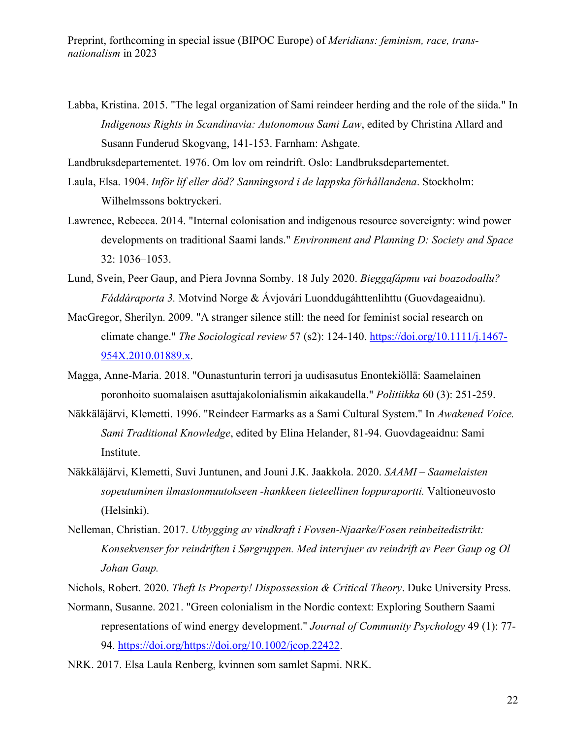Labba, Kristina. 2015. "The legal organization of Sami reindeer herding and the role of the siida." In *Indigenous Rights in Scandinavia: Autonomous Sami Law*, edited by Christina Allard and Susann Funderud Skogvang, 141-153. Farnham: Ashgate.

Landbruksdepartementet. 1976. Om lov om reindrift. Oslo: Landbruksdepartementet.

Laula, Elsa. 1904. *Inför lif eller död? Sanningsord i de lappska förhållandena*. Stockholm: Wilhelmssons boktryckeri.

- Lawrence, Rebecca. 2014. "Internal colonisation and indigenous resource sovereignty: wind power developments on traditional Saami lands." *Environment and Planning D: Society and Space* 32: 1036–1053.
- Lund, Svein, Peer Gaup, and Piera Jovnna Somby. 18 July 2020. *Bieggafápmu vai boazodoallu? Fáddáraporta 3.* Motvind Norge & Ávjovári Luonddugáhttenlihttu (Guovdageaidnu).
- MacGregor, Sherilyn. 2009. "A stranger silence still: the need for feminist social research on climate change." *The Sociological review* 57 (s2): 124-140. https://doi.org/10.1111/j.1467- 954X.2010.01889.x.
- Magga, Anne-Maria. 2018. "Ounastunturin terrori ja uudisasutus Enontekiöllä: Saamelainen poronhoito suomalaisen asuttajakolonialismin aikakaudella." *Politiikka* 60 (3): 251-259.
- Näkkäläjärvi, Klemetti. 1996. "Reindeer Earmarks as a Sami Cultural System." In *Awakened Voice. Sami Traditional Knowledge*, edited by Elina Helander, 81-94. Guovdageaidnu: Sami Institute.
- Näkkäläjärvi, Klemetti, Suvi Juntunen, and Jouni J.K. Jaakkola. 2020. *SAAMI – Saamelaisten sopeutuminen ilmastonmuutokseen -hankkeen tieteellinen loppuraportti.* Valtioneuvosto (Helsinki).
- Nelleman, Christian. 2017. *Utbygging av vindkraft i Fovsen-Njaarke/Fosen reinbeitedistrikt: Konsekvenser for reindriften i Sørgruppen. Med intervjuer av reindrift av Peer Gaup og Ol Johan Gaup.*
- Nichols, Robert. 2020. *Theft Is Property! Dispossession & Critical Theory*. Duke University Press.
- Normann, Susanne. 2021. "Green colonialism in the Nordic context: Exploring Southern Saami representations of wind energy development." *Journal of Community Psychology* 49 (1): 77- 94. https://doi.org/https://doi.org/10.1002/jcop.22422.
- NRK. 2017. Elsa Laula Renberg, kvinnen som samlet Sapmi. NRK.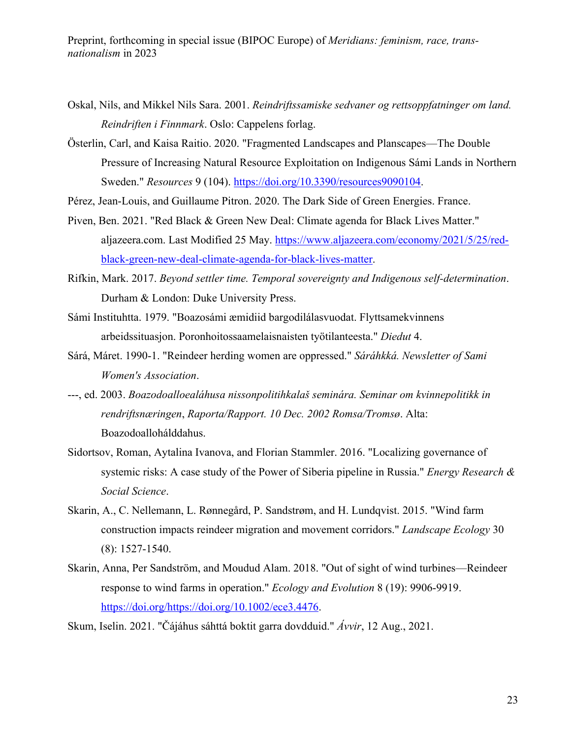- Oskal, Nils, and Mikkel Nils Sara. 2001. *Reindriftssamiske sedvaner og rettsoppfatninger om land. Reindriften i Finnmark*. Oslo: Cappelens forlag.
- Österlin, Carl, and Kaisa Raitio. 2020. "Fragmented Landscapes and Planscapes—The Double Pressure of Increasing Natural Resource Exploitation on Indigenous Sámi Lands in Northern Sweden." *Resources* 9 (104). https://doi.org/10.3390/resources9090104.
- Pérez, Jean-Louis, and Guillaume Pitron. 2020. The Dark Side of Green Energies. France.
- Piven, Ben. 2021. "Red Black & Green New Deal: Climate agenda for Black Lives Matter." aljazeera.com. Last Modified 25 May. https://www.aljazeera.com/economy/2021/5/25/redblack-green-new-deal-climate-agenda-for-black-lives-matter.
- Rifkin, Mark. 2017. *Beyond settler time. Temporal sovereignty and Indigenous self-determination*. Durham & London: Duke University Press.
- Sámi Instituhtta. 1979. "Boazosámi æmidiid bargodilálasvuodat. Flyttsamekvinnens arbeidssituasjon. Poronhoitossaamelaisnaisten työtilanteesta." *Diedut* 4.
- Sárá, Máret. 1990-1. "Reindeer herding women are oppressed." *Sáráhkká. Newsletter of Sami Women's Association*.
- ---, ed. 2003. *Boazodoalloealáhusa nissonpolitihkalaš seminára. Seminar om kvinnepolitikk in rendriftsnæringen*, *Raporta/Rapport. 10 Dec. 2002 Romsa/Tromsø*. Alta: Boazodoallohálddahus.
- Sidortsov, Roman, Aytalina Ivanova, and Florian Stammler. 2016. "Localizing governance of systemic risks: A case study of the Power of Siberia pipeline in Russia." *Energy Research & Social Science*.
- Skarin, A., C. Nellemann, L. Rønnegård, P. Sandstrøm, and H. Lundqvist. 2015. "Wind farm construction impacts reindeer migration and movement corridors." *Landscape Ecology* 30 (8): 1527-1540.
- Skarin, Anna, Per Sandström, and Moudud Alam. 2018. "Out of sight of wind turbines—Reindeer response to wind farms in operation." *Ecology and Evolution* 8 (19): 9906-9919. https://doi.org/https://doi.org/10.1002/ece3.4476.
- Skum, Iselin. 2021. "Čájáhus sáhttá boktit garra dovdduid." *Ávvir*, 12 Aug., 2021.